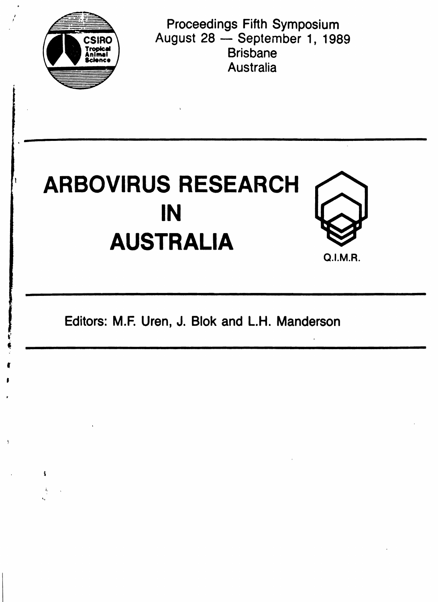

,

f  $\ddot{\bullet}$ 

f  $, \, \, \cdot$ 

I,.

 $\pmb{\hat{\mathbf{x}}}$ 

Proceedings Fifth Symposium August 28 - September 1, 1989 **Brisbane** Australia



f Editors: M.F. Uren, J. Blok and L.H. Manderson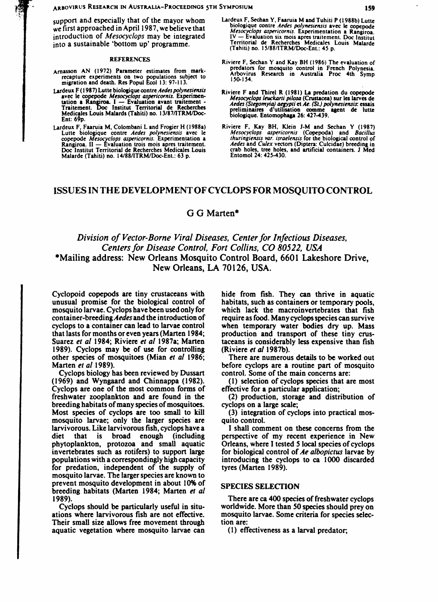#### ARBOVIRUS RESEARCH IN AUSTRALIA-PROCEEDINGS 5TH SYMPOSIUM

support and especially that of the mayor whom we first approached in April 1987, we believe that introduction of Mesocyclops may be integrated into a sustainable 'bottom up' programme.

#### **REFERENCES**

- Arnasson AN (1972) Parameter estimates from markrecapture experiments on two populations subject to<br>migration and death. Res Popul Ecol 13: 97-113.
- Lardeux F (1987) Lutte biologique contre Aedes polynesiensis avec le copepode Mesocyclops aspericornis. Experimentation a Rangiroa. I — Evaluation avant traitement -<br>Traitement. Doc Institut Territorial de Recherches<br>Medicales Louis Malards (Tahiti) no. 13/87/ITRM/Doc-Ent: 69p.
- Lardeux F, Faaruia M, Colombani L and Frogier H (1988a) Lutte biologique contre *Aedes polynesiensis* avec le<br>copepode *Mesocyclops aspericornis*. Experimentation a Rangiroa. II — Evaluation trois mois apres traitement.<br>Doc Institut Territorial de Recherches Medicales Louis Malarde (Tahiti) no. 14/88/ITRM/Doc-Ent.: 63 p.
- Lardeux F, Sechan Y, Faaruia M and Tuhiti P (1988b) Lutte biologique contre Aedes polynesiensis avec le copepode Mesocyclops aspericornis. Experimentation a Rangiroa. Mesociation six mois appearantement. Doc Institute<br>IV — Evaluation six mois appearantement. Doc Institut<br>Territorial de Recherches Medicales Louis Malarde<br>(Tahiti) no. 15/88/ITRM/Doc-Ent.: 45 p.
- Riviere F, Sechan Y and Kay BH (1986) The evaluation of predators for mosquito control in French Polynesia. Arbovirus Research in Australia Proc 4th Symp 150-154
- Riviere F and Thirel R (1981) La predation du copepode Mesocyclops leuckarti pilosa (Crustacea) sur les larves de Aedes (Stegomyia) aegypti et Ae. (St.) polynesiensis: essais preliminaires d'utilisation comme agent de lutte<br>biologique. Entomophaga 26: 427-439.
- Riviere F, Kay BH, Klein J-M and Sechan Y (1987)<br>Mesocyclops aspericornis (Copepoda) and Bacillus<br>thuringiensis var. israelensis for the biological control of Aedes and Culex vectors (Diptera: Culcidae) breeding in crab holes, tree holes, and artificial containers. J Med<br>Entomol 24: 425-430.

### ISSUES IN THE DEVELOPMENT OF CYCLOPS FOR MOSOUITO CONTROL

# G G Marten\*

# Division of Vector-Borne Viral Diseases, Center for Infectious Diseases, Centers for Disease Control, Fort Collins, CO 80522, USA \*Mailing address: New Orleans Mosquito Control Board, 6601 Lakeshore Drive, New Orleans, LA 70126, USA.

Cyclopoid copepods are tiny crustaceans with unusual promise for the biological control of mosquito larvae. Cyclops have been used only for container-breeding Aedes and the introduction of cyclops to a container can lead to larvae control that lasts for months or even years (Marten 1984; Suarez et al 1984; Riviere et al 1987a; Marten 1989). Cyclops may be of use for controlling other species of mosquitoes (Mian et al 1986; Marten et al 1989).

Cyclops biology has been reviewed by Dussart (1969) and Wyngaard and Chinnappa (1982). Cyclops are one of the most common forms of freshwater zooplankton and are found in the breeding habitats of many species of mosquitoes. Most species of cyclops are too small to kill mosquito larvae; only the larger species are larvivorous. Like larvivorous fish, cyclops have a diet that is broad enough *(including)* phytoplankton, protozoa and small aquatic invertebrates such as rotifers) to support large populations with a correspondingly high capacity for predation, independent of the supply of mosquito larvae. The larger species are known to prevent mosquito development in about 10% of breeding habitats (Marten 1984; Marten et al 1989).

Cyclops should be particularly useful in situations where larvivorous fish are not effective. Their small size allows free movement through aquatic vegetation where mosquito larvae can

hide from fish. They can thrive in aquatic habitats, such as containers or temporary pools, which lack the macroinvertebrates that fish require as food. Many cyclops species can survive when temporary water bodies dry up. Mass production and transport of these tiny crustaceans is considerably less expensive than fish (Riviere et al 1987b).

There are numerous details to be worked out before cyclops are a routine part of mosquito control. Some of the main concerns are:

(1) selection of cyclops species that are most effective for a particular application;

(2) production, storage and distribution of cyclops on a large scale;

(3) integration of cyclops into practical mosquito control.

I shall comment on these concerns from the perspective of my recent experience in New Orleans, where I tested 5 local species of cyclops for biological control of Ae albopictus larvae by introducing the cyclops to ca 1000 discarded tyres (Marten 1989).

#### **SPECIES SELECTION**

There are ca 400 species of freshwater cyclops worldwide. More than 50 species should prey on mosquito larvae. Some criteria for species selection are:

(1) effectiveness as a larval predator;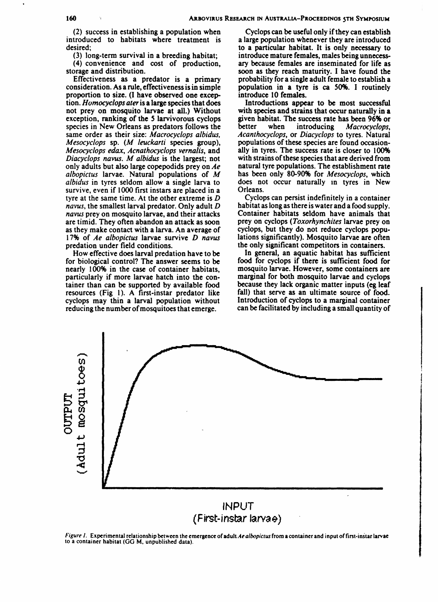(2) success in establishing a population when introduced to habitats where treatment is desired;

(3) long-term survival in a breeding habitat;

(4) convenience and cost of production, storage and distribution.

Effectiveness as a predator is a primary consideration. As a rule, effectiveness is in simple proportion to size. (I have observed one exception. *Homocyclops ater* is a large species that does not prey on mosquito larvae at all.) Without exception, ranking of the *S* larvivorous cyclops species in New Orleans as predators follows the same order as their size: *Macrocyc!ops albidus, Mesocyclops* sp. *(M leuckarti* species group), *Mesocyclops edax, Acnathocyclops verna/is,* and *Diacyclops navus. M albidus* is the largest; not only adults but also large copepodids prey on *Ae albopictus* larvae. Natural populations of *M albidus* in tyres seldom allow a single larva to survive, even if 1000 first instars are placed in a tyre at the same time. At the other extreme is *D navus,* the smallest larval predator. Only adult *D navus* prey on mosquito larvae, and their attacks are timid. They often abandon an attack as soon as they make contact with a larva. An average of 17% of *Ae albopictus* larvae survive *D navus*  predation under field conditions.

How effective does larval predation have to be for biological control? The answer seems to be nearly 100% in the case of container habitats, particularly if more larvae hatch into the container than can be supported by available food resources (Fig I). A first-instar predator like cyclops may thin a larval population without reducing the number of mosquitoes that emerge.

Cyclops can be useful only if they can establish a large population whenever they are introduced to a particular habitat. It is only necessary to introduce mature females, males being unnecessary because females are inseminated for life as soon as they reach maturity. I have found the probability for a single adult female to establish a population in a tyre is ca 50%. I routinely introduce 10 females.

Introductions appear to be most successful with species and strains that occur naturally in a given habitat. The success rate has been 96% or<br>better when introducing *Macrocyclops*, beta*Macrocyclops*, *Acanthocyc!ops,* or *Diacyc!ops* to tyres. Natural populations of these species are found occasionally in tyres. The success rate is closer to 100% with strains of these species that are derived from natural tyre populations. The establishment rate has been only 80-90% for *Mesocyclops,* which does not occur naturally in tyres in New Orleans.

Cyclops can persist indefinitely in a container habitat as long as there is water and a food supply. Container habitats seldom have animals that prey on cyclops *(Toxorhynchites* larvae prey on cyclops, but they do not reduce cyclops populations significantly). Mosquito larvae are often the only significant competitors in containers.

In general, an aquatic habitat has sufficient food for cyclops if there is sufficient food for mosquito larvae. However, some containers are marginal for both mosquito larvae and cyclops because they lack organic matter inputs (eg leaf fall) that serve as an ultimate source of food. -Introduction of cyclops to a marginal container can be facilitated by including a small quantity of



*Figure 1.* Experimental relationship between the emergence of adult *Ae albopictus* from a container and input of first-instar larvae to a container habitat (GG M, unpublished data).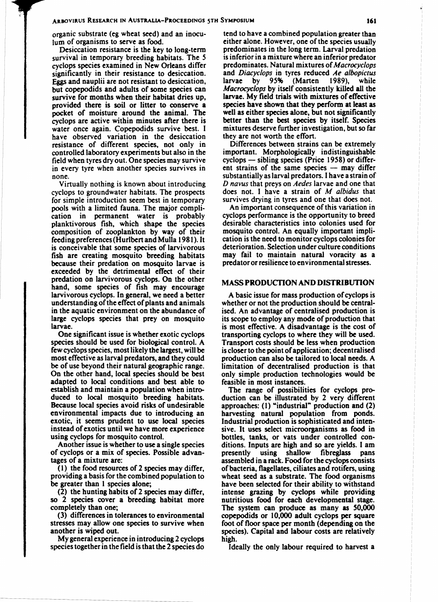#### ARBOVIRUS RESEARCH IN AUSTRALIA-PROCEEDINGS 5TH SYMPOSIUM 161

organic substrate (eg wheat seed) and an inoculum of organisms to serve as food.

Desiccation resistance is the key to long-term survival in temporary breeding habitats. The *5*  cyclops species examined in New Orleans differ significantly in their resistance to desiccation. Eggs and nauplii are not resistant to desiccation, but copepodids and adults of some species can survive for months when their habitat dries up, provided there is soil or litter to conserve a pocket of moisture around the animal. The cyclops are active within minutes after there is water once again. Copepodids survive best. I have observed variation in the desiccation resistance of different species, not only in controlled laboratory experiments but also in the field when tyres dry out. One species may survive in every tyre when another species survives in none.

Virtually nothing is known about introducing cyclops to groundwater habitats. The prospects for simple introduction seem best in temporary pools with a limited fauna. The major complication in permanent water is probably planktivorous fish, which shape the species composition of zooplankton by way of their feeding preferences (Hurlbert and Mulla 1981). It is conceivable that some species of larvivorous fish are creating mosquito breeding habitats because their predation on mosquito larvae is exceeded by the detrimental effect of their predation on larvivorous cyclops. On the other hand, some species of fish may encourage larvivorous cyclops. In general, we need a better understanding of the effect of plants and animals in the aquatic environment on the abundance of large cyclops species that prey on mosquito larvae.

One significant issue is whether exotic cyclops species should be used for biological control. A few cyclops species, most likely the largest, will be most effective as larval predators, and they could be of use beyond their natural geographic range. On the other hand, local species should be best adapted to local conditions and best able to establish and maintain a population when introduced to local mosquito breeding habitats. Because local species avoid risks of undesirable environmental impacts due to introducing an exotic, it seems prudent to use local species instead of exotics until we have more experience using cyclops for mosquito control.

Another issue is whether to use a single species of cyclops or a mix of species. Possible advantages of a mixture are:

(1) the food resources of 2 species may differ, providing a basis for the combined population to be greater than 1 species alone;

(2) the hunting habits of 2 species may differ, so 2 species cover a breeding habitat more completely than one;

(3) differences in tolerances to environmental stresses may allow one species to survive when another is wiped out.

My general experience in introducing 2 cyclops speciestogether in the field is that the 2 species do

tend to have a combined population greater than either alone. However, one of the species usually predominates in the long term. Larval predation is inferior in a mixture where an inferior predator predominates. Natural mixtures of*Macrocyclops*  and *Diacyclops* in tyres reduced Ae *albopictus*  larvae by 95% (Marten 1989), while *Macrocyclops* by itself consistently killed all-the larvae. My field trials with mixtures of effective species have shown that they perform at least as well as either species alone, but not significantly better than the best species by itself. Species mixtures deserve further investigation, but so far they are not worth the effort.

Differences between strains can be extremely important. Morphologically indistinguishable cyclops  $-$  sibling species (Price 1958) or different strains of the same species  $-$  may differ substantially as larval predators. I have a strain of *D navus* that preys on *Aedes* larvae and one that does not. I have a strain of *M albidus* that survives drying in tyres and one that does not.

An important consequence of this variation in cyclops performance is the opportunity to breed desirable characteristics into colonies used for mosquito control. An equally important implication is the need to monitor cyclops colonies for deterioration. Selection under culture conditions may fail to maintain natural voracity as a predator or resilience to environmental stresses.

#### MASS PRODUCTION AND DISTRIBUTION

A basic issue for mass production of cyclops is whether or not the production should be centralised. An advantage of centralised production is its scope to employ any mode of production that is most effective. A disadvantage is tbe cost of transporting cyclops to where they will be used. Transport costs should be less when production is closer to the point of application; decentralised production can also be tailored to local needs. A limitation of decentralised production is that only simple production technologies would be feasible in most instances.

The range of possibilities for cyclops production can be illustrated by 2 very different approaches: (1) "industrial" production and (2) harvesting natural population from ponds. Industrial production is sophisticated and intensive. It uses select microorganisms as food in bottles, tanks, or vats under controlled conditions. Inputs are high and so are yields. I am presently using shallow fibreglass pans assembled in a rack. Food for the cyclops consists of bacteria, flagellates, ciliates and rotifers, using wheat seed as a substrate. The food organisms have been selected for their ability to withstand intense grazing by cyclops while providing nutritious food for each developmental stage. The system can produce as many as *SO,OOO*  copepodids or 10,000 adult cyclops per square foot of floor space per month (depending on the species). Capital and labour costs are relatively high.

Ideally the only labour required to harvest a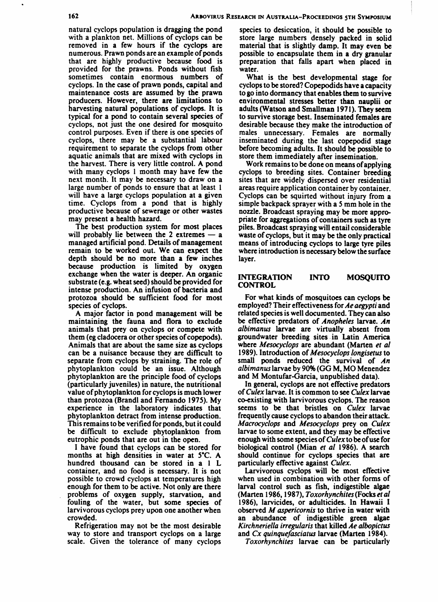natural cyclops population is dragging the pond with a plankton net. Millions of cyclops can be removed in a few hours if the cyclops are numerous. Prawn ponds are an example of ponds that are highly productive because food is provided for the prawns. Ponds without fish sometimes contain enormous numbers of cyclops. In the case of prawn ponds, capital and maintenance costs are assumed by the prawn producers. However, there are limitations to harvesting natural populations of cyclops. It is typical for a pond to contain several species of cyclops, not just the one desired for mosquito control purposes. Even if there is one species of cyclops, there may be a substantial labour requirement to separate the cyclops from other aquatic animals that are mixed with cyclops in the harvest. There is very little control. A pond with many cyclops 1 month may have few the next month. It may be necessary to draw on a large number of ponds to ensure that at least 1 will have a large cyclops population at a given time. Cyclops from a pond that is highly productive because of sewerage or other wastes may present a health hazard.

The best production system for most places will probably lie between the 2 extremes  $-$  a managed artificial pond. Details of management remain to be worked out. We can expect the depth should be no more than a few inches because production is limited by oxygen exchange when the water is deeper. An organic substrate (e.g. wheat seed) should be provided for intense production. An infusion of bacteria and protozoa should be sufficient food for most species of cyclops.

A major factor in pond management will be maintaining the fauna and flora to exclude animals that prey on cyclops or compete with them (eg cladocera or other species of copepods). Animals that are about the same size as cyclops can be a nuisance because they are difficult to separate from cyclops by straining. The role of phytoplankton could be an issue. Although phytoplankton are the principle food of cyclops (particularly juveniles) in nature, the nutritional value of phytoplankton for cyclops is much lower than protozoa (Brandl and Fernando 1975). My experience in the laboratory indicates that phytoplankton detract from intense production. This remains to be verified for ponds, but it could be difficult to exclude phytoplankton from eutrophic ponds that are out in the open.

I have found that cyclops can be stored for months at high densities in water at *S·C.* A hundred thousand can be stored in a  $1 \text{ L}$ container, and no food is necessary. It is not possible to crowd cyclops at temperatures high enough for them to be active. Not only are there problems of oxygen supply, starvation, and fouling of the water, but some species of larvivorous cyclops prey upon one another when crowded.

Refrigeration may not be the most desirable way to store and transport cyclops on a large scale. Given the tolerance of many cyclops species to desiccation, it should be possible to store large numbers densely packed in solid material that is slightly damp. It may even be possible to encapsulate them in a dry granular preparation that falls apart when placed in water.

What is the best developmental stage for cyclops to be stored? Copepodids have a capacity to go into dormancy that enables them to survive environmental stresses better than nauplii or adults (Watson and Smallman 1971). They seem to survive storage best. Inseminated females are desirable because they make the introduction of males unnecessary. Females are normally inseminated during the last copepodid stage before becoming adults. It should be possible to store them immediately after insemination.

Work remains to be done on means ofapplying cyclops to breeding sites. Container breeding sites that are widely dispersed over residential areas require application container by container. Cyclops can be squirted without injury from a simple backpack sprayer with a *5* mm hole in the nozzle. Broadcast spraying may be more appropriate for aggregations of containers such as tyre piles. Broadcast spraying will entail considerable waste of cyclops, but it may be the only practical means of introducing cyclops to large tyre piles where introduction is necessary below the surface layer.

#### INTEGRATION INTO MOSQUITO **CONTROL**

For what kinds of mosquitoes can cyclops be employed? Their effectiveness for *Aeaegypti* and related species is well documented. They can also be effective predators of *Anopheles* larvae. *An albimanus* larvae are virtually absent from groundwater breeding sites. in Latin America where *Mesocyclops* are abundant (Marten *et al*  1989). Introduction of*Mesocyclops longisetus* to small ponds reduced the survival of *An albimanus* larvae by 90% (GG M, MO Menendez and M Montufar-Garcia, unpublished data).

In general, cyclops are not effective predators of*Culex* larvae. It is common to see *Culex* larvae co-existing with larvivorous cyclops. The reason seems to be that bristles on *Culex* larvae frequently cause cyclops to abandon their attack. *Macrocyclops* and *Mesocyclops* prey on *Culex*  larvae to some extent, and they may be effective enough with some species of*Culex* to beofuse for biological control (Mian *et al* 1986). A search should continue for cyclops species that are particularly effective against *Culex.* 

Larvivorous cyclops will be most effective when used in combination with other forms of larval control such as fish, indigestible algae (Marten 1986, 1987), *Toxorhynchites* (Focks *et al*  1986), larvicides, or adulticides. In Hawaii I observed *M asper;cornis* to thrive in water with an abundance of indigestible green algae *Kirchneriella irregular;s* that killed *Ae albop;ctus*  and *Cx quinquefasciatus* larvae (Marten 1984).

*Toxorhynchites* larvae can be particularly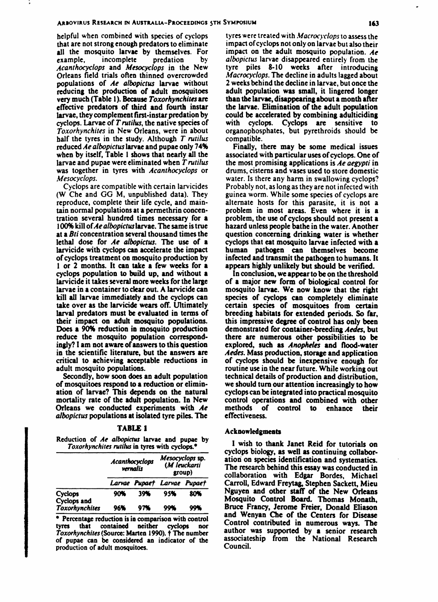belpful when combined with species of cyclops that are not strong enough predators to eliminate all the mOSQuito larvae by themselves. For example, incomplete predation by *Acanthocyclops* and *Mesocyclops* in the New Orleans field trials often thinned overcrowded populations of  $\boldsymbol{A}e$  albopictus larvae without reducing the production of adult mosquitoes very much (Table I). Because *Toxorhynchiles* are effective predators of third and fourth instar larvae, they complement fint-instar predation by cyclops. Larvae of *T rutilus*, the native species of *Toxorhynchites* in New Orleans, were in about balf the tyres in the study. Although *T ruti/us*  reduced *Ae albopictus* larvae and pupae only 74% when by itself, Table 1 shows that nearly all the larvae and pupae were eliminated when *T ruti/us*  was together in tyres with *Acanthocyclops* or Mesocyclops.

Cyclops are compatible with certain larvicides (W Che and GG M, unpublished data). They reproduce, complete their life cycle, and maintain normal populations at a pennethrin concentration several hundred times necessary for a 100% kill of *Ae albopictus* larvae. The same is true at a *Bti* concentration several thousand times the lethal dose for *Ae albopictus*. The use of a larvicide with cyclops can accelerate the impact of cyclops treatment on mosquito production by 1 or 2 months. It can take a few weeks for a cyclops population to build up, and without a larvicide it takes several more weeks for the large larvae in a container to clear out. A larvicide can kill all larvae immediatdy and the cyclops can take over as tbe larvicide wears off. Ultimately larval predators must be evaluated in terms of their impact on adult mosquito populations. Does a 90% reduction in mosquito production reduce the mOSQuito population correspond· ingly? I am not aware of answers to this question in the scientific literature, but the answers are critical to achieving acceptable reductions in adult mosquito populations.

Secondly, bow soon does an adult population of mosquitoes respond to a reduction or elimination of larvae? This depends on the natural mortality rate of the adult population. In New Orleans we conducted experiments with Ae *albopictus* populations at isolated tyre piles. The

#### TABLE 1

Reduction of *Ae albopictus* larvae and pupae by Toxorhynchites rutilus in tyres with cyclops.<sup>•</sup>

|                               | <b>Acanthocyclops</b><br>vernalis |                             | Mesocyclops sp.<br>(M leuckarti<br>group) |     |
|-------------------------------|-----------------------------------|-----------------------------|-------------------------------------------|-----|
|                               |                                   | Larvae Pupaet Larvae Pupaet |                                           |     |
| <b>Cyclops</b><br>Cyclops and | 90%                               | 39%                         | 95%                                       | 80% |
| Toxorhynchites                | 96%                               | 97%                         | 99%                                       | 99% |

\* Percentage reduction is in comparison with control lyres that contained neither cyclops nor  $\overline{T}oxorhynchites$  (Source: Marten 1990).  $\overline{T}$  The number of pupae can be considered an indicator of the production of adult mosquitoes.

lyres were treated with *!Jacrocrc/ops* to assess the impact of cyclops not only on larvae but also their impact on the adult mosquito population.  $Ae$ *albopictus* larvae disappeared entirely from the lyre piles 8-10 weeks after introducing *Macrocyclops.* The decline in adults lagged about 2 weeks behind the decline in larvae, but once the adult population was small, it lingered longer than the larvae, disappearing about a month after the larvae. Elimination of the adult population could be accelerated by combining adulticiding with cyclops. Cyclops are sensitive to organophosphates, but pyrethroids should be compatible.

Finally, there may be some medical issues associated with particular uses of cyclops. One of the most promising applications is Ae *aegypti* in drums, cisterns and vases used to store domestic water. Is there any harm in swallowing cyclops? Probably not, as long as they are not infected with guinea worm. While some species of cyclops are alternate hosts for tbis parasite, it is not a problem in most areas. Even where it is a problem, the use of cyclops should not present a hazard unless people bathe in the water. Another question concemina drinkina water is whether cyclops tbat eat mosquito larvae infected with a human pathogen can themselves become infected and transmit the pathogen to humans. It appears highly unlikely but should be verified.

In conclusion, we appear to be on the threshold of a major new form of biological control for mosquito larvae. We now know that the right species of cyclops CAn completely eliminate certain species of mosquitoes from certain breeding habitats for extended periods. So far, this impressive degree of control has only been demonstrated for container·breedina *Aedes,* but there are numerous other possibilities to be explored, such as Anopheles and flood-water *Aedes.* Mass production, storaae and application of cyclops should be inexpensive enougb for routine use in the neat future. While working out technical details of production and distribution, we should tum our attention increasingly to bow cycJops can be intearated into practical mosquito control operations and combined with other<br>methods of control to enhance their of control to enhance their effectiveness.

#### Acknowledgments

I wish to thank Janet Reid for tutorials on cyclops biology, as well as continuing collaboration on species identification and systematics. The research behind this essay was conducted in collaboration with Edgar Bordes, Michael Carroll, Edward Freytag, Stephen Sackett, Mieu Nguyen and other staff of the New Orleans Mosquito Control Board. Thomas Monath, Bruce Francy, Jerome Freier, Donald Eliason and Wenyan Cbe of the Centen for Disease Control contributed in numerous ways. The author was supported by a senior research associateship from the National Research Council.